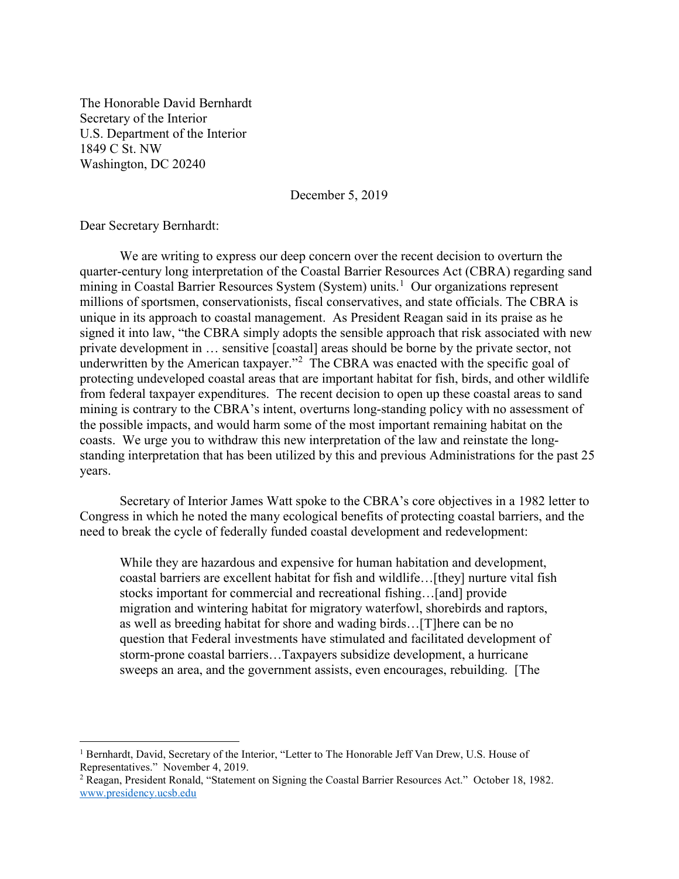The Honorable David Bernhardt Secretary of the Interior U.S. Department of the Interior 1849 C St. NW Washington, DC 20240

December 5, 2019

Dear Secretary Bernhardt:

 $\overline{a}$ 

 We are writing to express our deep concern over the recent decision to overturn the quarter-century long interpretation of the Coastal Barrier Resources Act (CBRA) regarding sand mining in Coastal Barrier Resources System (System) units.<sup>1</sup> Our organizations represent millions of sportsmen, conservationists, fiscal conservatives, and state officials. The CBRA is unique in its approach to coastal management. As President Reagan said in its praise as he signed it into law, "the CBRA simply adopts the sensible approach that risk associated with new private development in … sensitive [coastal] areas should be borne by the private sector, not underwritten by the American taxpayer."<sup>2</sup> The CBRA was enacted with the specific goal of protecting undeveloped coastal areas that are important habitat for fish, birds, and other wildlife from federal taxpayer expenditures. The recent decision to open up these coastal areas to sand mining is contrary to the CBRA's intent, overturns long-standing policy with no assessment of the possible impacts, and would harm some of the most important remaining habitat on the coasts. We urge you to withdraw this new interpretation of the law and reinstate the longstanding interpretation that has been utilized by this and previous Administrations for the past 25 years.

Secretary of Interior James Watt spoke to the CBRA's core objectives in a 1982 letter to Congress in which he noted the many ecological benefits of protecting coastal barriers, and the need to break the cycle of federally funded coastal development and redevelopment:

While they are hazardous and expensive for human habitation and development, coastal barriers are excellent habitat for fish and wildlife…[they] nurture vital fish stocks important for commercial and recreational fishing…[and] provide migration and wintering habitat for migratory waterfowl, shorebirds and raptors, as well as breeding habitat for shore and wading birds…[T]here can be no question that Federal investments have stimulated and facilitated development of storm-prone coastal barriers…Taxpayers subsidize development, a hurricane sweeps an area, and the government assists, even encourages, rebuilding. [The

<sup>&</sup>lt;sup>1</sup> Bernhardt, David, Secretary of the Interior, "Letter to The Honorable Jeff Van Drew, U.S. House of Representatives." November 4, 2019.

<sup>&</sup>lt;sup>2</sup> Reagan, President Ronald, "Statement on Signing the Coastal Barrier Resources Act." October 18, 1982. www.presidency.ucsb.edu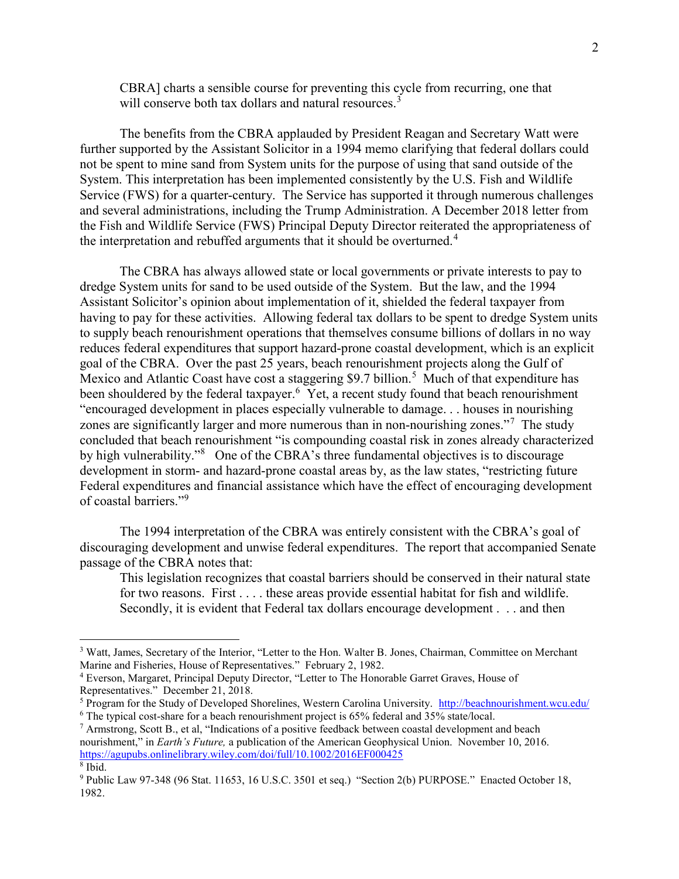CBRA] charts a sensible course for preventing this cycle from recurring, one that will conserve both tax dollars and natural resources.<sup>3</sup>

The benefits from the CBRA applauded by President Reagan and Secretary Watt were further supported by the Assistant Solicitor in a 1994 memo clarifying that federal dollars could not be spent to mine sand from System units for the purpose of using that sand outside of the System. This interpretation has been implemented consistently by the U.S. Fish and Wildlife Service (FWS) for a quarter-century. The Service has supported it through numerous challenges and several administrations, including the Trump Administration. A December 2018 letter from the Fish and Wildlife Service (FWS) Principal Deputy Director reiterated the appropriateness of the interpretation and rebuffed arguments that it should be overturned.<sup>4</sup>

 The CBRA has always allowed state or local governments or private interests to pay to dredge System units for sand to be used outside of the System. But the law, and the 1994 Assistant Solicitor's opinion about implementation of it, shielded the federal taxpayer from having to pay for these activities. Allowing federal tax dollars to be spent to dredge System units to supply beach renourishment operations that themselves consume billions of dollars in no way reduces federal expenditures that support hazard-prone coastal development, which is an explicit goal of the CBRA. Over the past 25 years, beach renourishment projects along the Gulf of Mexico and Atlantic Coast have cost a staggering \$9.7 billion.<sup>5</sup> Much of that expenditure has been shouldered by the federal taxpayer.<sup>6</sup> Yet, a recent study found that beach renourishment "encouraged development in places especially vulnerable to damage. . . houses in nourishing zones are significantly larger and more numerous than in non-nourishing zones."<sup>7</sup> The study concluded that beach renourishment "is compounding coastal risk in zones already characterized by high vulnerability."<sup>8</sup> One of the CBRA's three fundamental objectives is to discourage development in storm- and hazard-prone coastal areas by, as the law states, "restricting future Federal expenditures and financial assistance which have the effect of encouraging development of coastal barriers."<sup>9</sup>

The 1994 interpretation of the CBRA was entirely consistent with the CBRA's goal of discouraging development and unwise federal expenditures. The report that accompanied Senate passage of the CBRA notes that:

This legislation recognizes that coastal barriers should be conserved in their natural state for two reasons. First . . . . these areas provide essential habitat for fish and wildlife. Secondly, it is evident that Federal tax dollars encourage development . . . and then

 $\overline{a}$ 

<sup>&</sup>lt;sup>3</sup> Watt, James, Secretary of the Interior, "Letter to the Hon. Walter B. Jones, Chairman, Committee on Merchant Marine and Fisheries, House of Representatives." February 2, 1982.

<sup>4</sup> Everson, Margaret, Principal Deputy Director, "Letter to The Honorable Garret Graves, House of Representatives." December 21, 2018.

<sup>&</sup>lt;sup>5</sup> Program for the Study of Developed Shorelines, Western Carolina University. http://beachnourishment.wcu.edu/  $6$  The typical cost-share for a beach renourishment project is 65% federal and 35% state/local.

<sup>&</sup>lt;sup>7</sup> Armstrong, Scott B., et al, "Indications of a positive feedback between coastal development and beach nourishment," in Earth's Future, a publication of the American Geophysical Union. November 10, 2016. https://agupubs.onlinelibrary.wiley.com/doi/full/10.1002/2016EF000425 8 Ibid.

<sup>&</sup>lt;sup>9</sup> Public Law 97-348 (96 Stat. 11653, 16 U.S.C. 3501 et seq.) "Section 2(b) PURPOSE." Enacted October 18, 1982.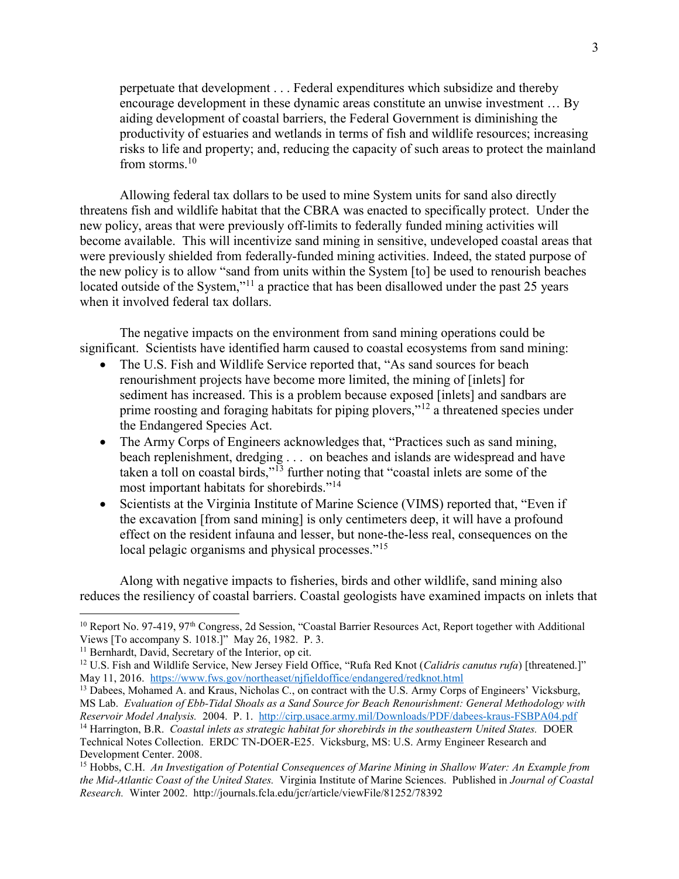perpetuate that development . . . Federal expenditures which subsidize and thereby encourage development in these dynamic areas constitute an unwise investment … By aiding development of coastal barriers, the Federal Government is diminishing the productivity of estuaries and wetlands in terms of fish and wildlife resources; increasing risks to life and property; and, reducing the capacity of such areas to protect the mainland from storms. $^{10}$ 

Allowing federal tax dollars to be used to mine System units for sand also directly threatens fish and wildlife habitat that the CBRA was enacted to specifically protect. Under the new policy, areas that were previously off-limits to federally funded mining activities will become available. This will incentivize sand mining in sensitive, undeveloped coastal areas that were previously shielded from federally-funded mining activities. Indeed, the stated purpose of the new policy is to allow "sand from units within the System [to] be used to renourish beaches located outside of the System,"<sup>11</sup> a practice that has been disallowed under the past 25 years when it involved federal tax dollars.

The negative impacts on the environment from sand mining operations could be significant. Scientists have identified harm caused to coastal ecosystems from sand mining:

- The U.S. Fish and Wildlife Service reported that, "As sand sources for beach renourishment projects have become more limited, the mining of [inlets] for sediment has increased. This is a problem because exposed [inlets] and sandbars are prime roosting and foraging habitats for piping plovers,"<sup>12</sup> a threatened species under the Endangered Species Act.
- The Army Corps of Engineers acknowledges that, "Practices such as sand mining, beach replenishment, dredging . . . on beaches and islands are widespread and have taken a toll on coastal birds,"<sup>13</sup> further noting that "coastal inlets are some of the most important habitats for shorebirds."<sup>14</sup>
- Scientists at the Virginia Institute of Marine Science (VIMS) reported that, "Even if the excavation [from sand mining] is only centimeters deep, it will have a profound effect on the resident infauna and lesser, but none-the-less real, consequences on the local pelagic organisms and physical processes."<sup>15</sup>

Along with negative impacts to fisheries, birds and other wildlife, sand mining also reduces the resiliency of coastal barriers. Coastal geologists have examined impacts on inlets that

 $\overline{a}$ 

 $10$  Report No. 97-419, 97<sup>th</sup> Congress, 2d Session, "Coastal Barrier Resources Act, Report together with Additional Views [To accompany S. 1018.]" May 26, 1982. P. 3.

<sup>&</sup>lt;sup>11</sup> Bernhardt, David, Secretary of the Interior, op cit.

<sup>&</sup>lt;sup>12</sup> U.S. Fish and Wildlife Service, New Jersey Field Office, "Rufa Red Knot (Calidris canutus rufa) [threatened.]" May 11, 2016. https://www.fws.gov/northeaset/njfieldoffice/endangered/redknot.html

<sup>&</sup>lt;sup>13</sup> Dabees, Mohamed A. and Kraus, Nicholas C., on contract with the U.S. Army Corps of Engineers' Vicksburg, MS Lab. Evaluation of Ebb-Tidal Shoals as a Sand Source for Beach Renourishment: General Methodology with Reservoir Model Analysis. 2004. P. 1. http://cirp.usace.army.mil/Downloads/PDF/dabees-kraus-FSBPA04.pdf

<sup>&</sup>lt;sup>14</sup> Harrington, B.R. *Coastal inlets as strategic habitat for shorebirds in the southeastern United States.* DOER Technical Notes Collection. ERDC TN-DOER-E25. Vicksburg, MS: U.S. Army Engineer Research and Development Center. 2008.

<sup>&</sup>lt;sup>15</sup> Hobbs, C.H. An Investigation of Potential Consequences of Marine Mining in Shallow Water: An Example from the Mid-Atlantic Coast of the United States. Virginia Institute of Marine Sciences. Published in Journal of Coastal Research. Winter 2002. http://journals.fcla.edu/jcr/article/viewFile/81252/78392